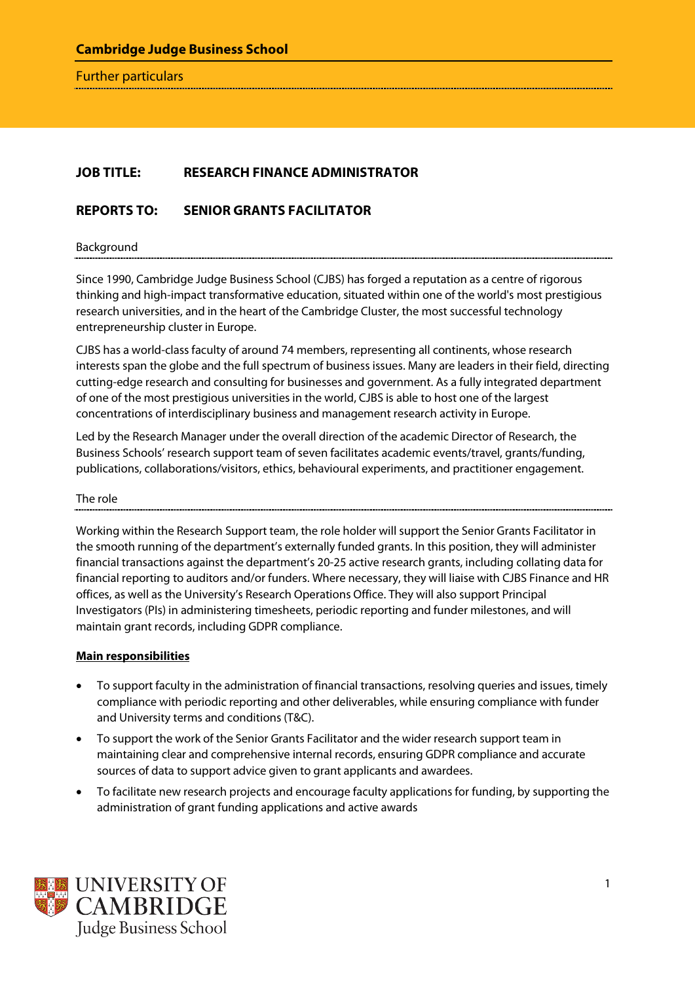Further particulars

## **JOB TITLE: RESEARCH FINANCE ADMINISTRATOR**

# **REPORTS TO: SENIOR GRANTS FACILITATOR**

Background

Since 1990, Cambridge Judge Business School (CJBS) has forged a reputation as a centre of rigorous thinking and high-impact transformative education, situated within one of the world's most prestigious research universities, and in the heart of the Cambridge Cluster, the most successful technology entrepreneurship cluster in Europe.

CJBS has a world-class faculty of around 74 members, representing all continents, whose research interests span the globe and the full spectrum of business issues. Many are leaders in their field, directing cutting-edge research and consulting for businesses and government. As a fully integrated department of one of the most prestigious universities in the world, CJBS is able to host one of the largest concentrations of interdisciplinary business and management research activity in Europe.

Led by the Research Manager under the overall direction of the academic Director of Research, the Business Schools' research support team of seven facilitates academic events/travel, grants/funding, publications, collaborations/visitors, ethics, behavioural experiments, and practitioner engagement.

#### The role

Working within the Research Support team, the role holder will support the Senior Grants Facilitator in the smooth running of the department's externally funded grants. In this position, they will administer financial transactions against the department's 20-25 active research grants, including collating data for financial reporting to auditors and/or funders. Where necessary, they will liaise with CJBS Finance and HR offices, as well as the University's Research Operations Office. They will also support Principal Investigators (PIs) in administering timesheets, periodic reporting and funder milestones, and will maintain grant records, including GDPR compliance.

### **Main responsibilities**

- To support faculty in the administration of financial transactions, resolving queries and issues, timely compliance with periodic reporting and other deliverables, while ensuring compliance with funder and University terms and conditions (T&C).
- To support the work of the Senior Grants Facilitator and the wider research support team in maintaining clear and comprehensive internal records, ensuring GDPR compliance and accurate sources of data to support advice given to grant applicants and awardees.
- To facilitate new research projects and encourage faculty applications for funding, by supporting the administration of grant funding applications and active awards

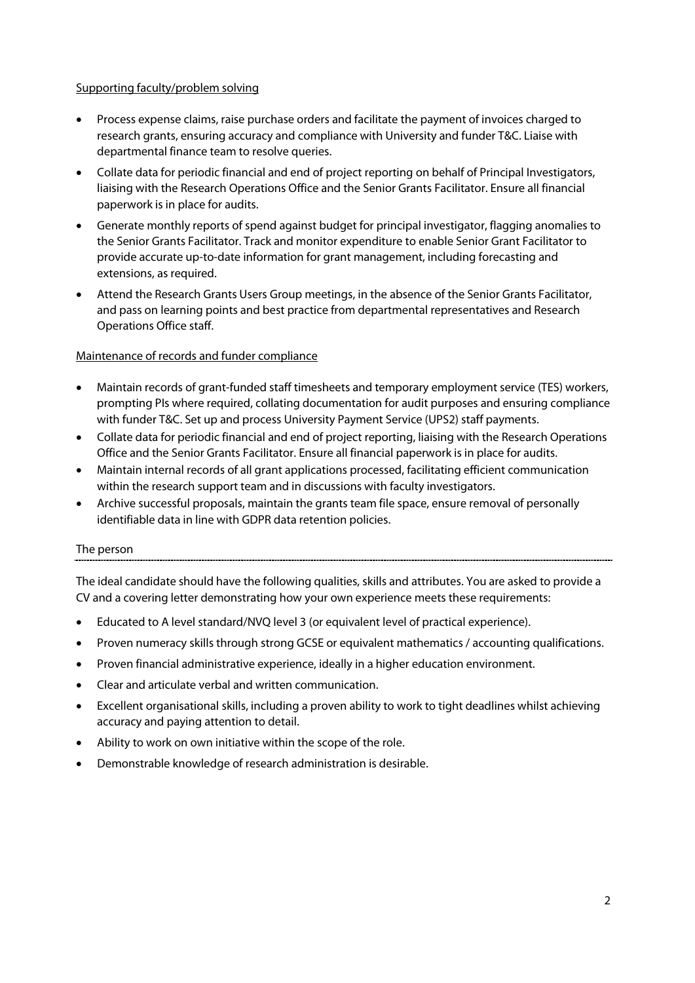## Supporting faculty/problem solving

- Process expense claims, raise purchase orders and facilitate the payment of invoices charged to research grants, ensuring accuracy and compliance with University and funder T&C. Liaise with departmental finance team to resolve queries.
- Collate data for periodic financial and end of project reporting on behalf of Principal Investigators, liaising with the Research Operations Office and the Senior Grants Facilitator. Ensure all financial paperwork is in place for audits.
- Generate monthly reports of spend against budget for principal investigator, flagging anomalies to the Senior Grants Facilitator. Track and monitor expenditure to enable Senior Grant Facilitator to provide accurate up-to-date information for grant management, including forecasting and extensions, as required.
- Attend the Research Grants Users Group meetings, in the absence of the Senior Grants Facilitator, and pass on learning points and best practice from departmental representatives and Research Operations Office staff.

## Maintenance of records and funder compliance

- Maintain records of grant-funded staff timesheets and temporary employment service (TES) workers, prompting PIs where required, collating documentation for audit purposes and ensuring compliance with funder T&C. Set up and process University Payment Service (UPS2) staff payments.
- Collate data for periodic financial and end of project reporting, liaising with the Research Operations Office and the Senior Grants Facilitator. Ensure all financial paperwork is in place for audits.
- Maintain internal records of all grant applications processed, facilitating efficient communication within the research support team and in discussions with faculty investigators.
- Archive successful proposals, maintain the grants team file space, ensure removal of personally identifiable data in line with GDPR data retention policies.

### The person

The ideal candidate should have the following qualities, skills and attributes. You are asked to provide a CV and a covering letter demonstrating how your own experience meets these requirements:

- Educated to A level standard/NVQ level 3 (or equivalent level of practical experience).
- Proven numeracy skills through strong GCSE or equivalent mathematics / accounting qualifications.
- Proven financial administrative experience, ideally in a higher education environment.
- Clear and articulate verbal and written communication.
- Excellent organisational skills, including a proven ability to work to tight deadlines whilst achieving accuracy and paying attention to detail.
- Ability to work on own initiative within the scope of the role.
- Demonstrable knowledge of research administration is desirable.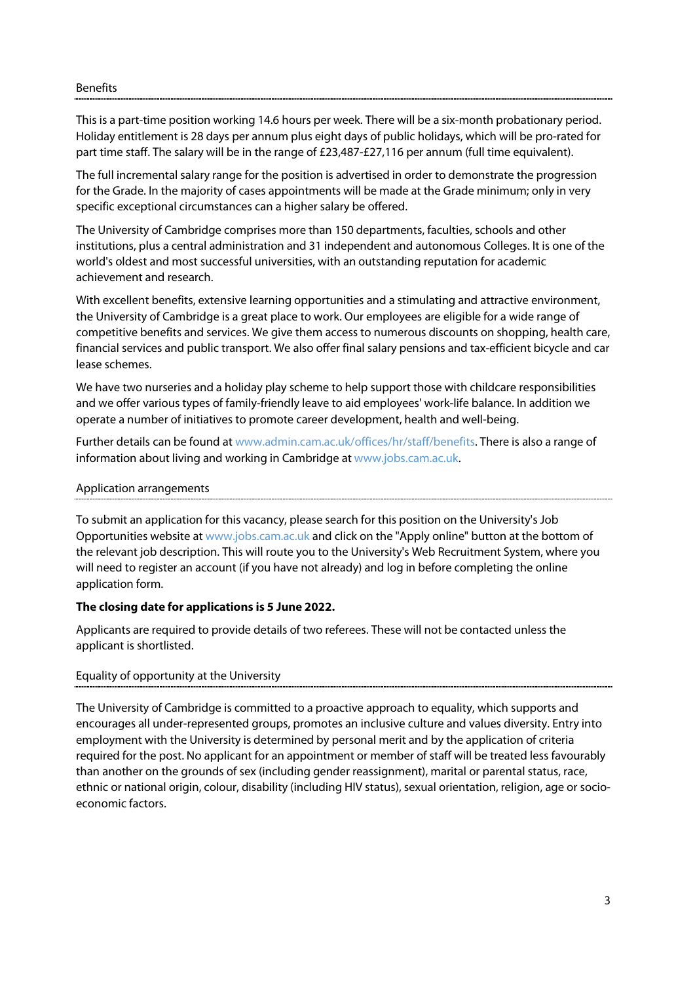#### **Benefits**

This is a part-time position working 14.6 hours per week. There will be a six-month probationary period. Holiday entitlement is 28 days per annum plus eight days of public holidays, which will be pro-rated for part time staff. The salary will be in the range of £23,487-£27,116 per annum (full time equivalent).

The full incremental salary range for the position is advertised in order to demonstrate the progression for the Grade. In the majority of cases appointments will be made at the Grade minimum; only in very specific exceptional circumstances can a higher salary be offered.

The University of Cambridge comprises more than 150 departments, faculties, schools and other institutions, plus a central administration and 31 independent and autonomous Colleges. It is one of the world's oldest and most successful universities, with an outstanding reputation for academic achievement and research.

With excellent benefits, extensive learning opportunities and a stimulating and attractive environment, the University of Cambridge is a great place to work. Our employees are eligible for a wide range of competitive benefits and services. We give them access to numerous discounts on shopping, health care, financial services and public transport. We also offer final salary pensions and tax-efficient bicycle and car lease schemes.

We have two nurseries and a holiday play scheme to help support those with childcare responsibilities and we offer various types of family-friendly leave to aid employees' work-life balance. In addition we operate a number of initiatives to promote career development, health and well-being.

Further details can be found a[t www.admin.cam.ac.uk/offices/hr/staff/benefits.](http://www.admin.cam.ac.uk/offices/hr/staff/benefits/) There is also a range of information about living and working in Cambridge a[t www.jobs.cam.ac.uk.](http://www.jobs.cam.ac.uk/)

#### Application arrangements

To submit an application for this vacancy, please search for this position on the University's Job Opportunities website at [www.jobs.cam.ac.uk](http://www.jobs.cam.ac.uk/) and click on the "Apply online" button at the bottom of the relevant job description. This will route you to the University's Web Recruitment System, where you will need to register an account (if you have not already) and log in before completing the online application form.

### **The closing date for applications is 5 June 2022.**

Applicants are required to provide details of two referees. These will not be contacted unless the applicant is shortlisted.

### Equality of opportunity at the University

The University of Cambridge is committed to a proactive approach to equality, which supports and encourages all under-represented groups, promotes an inclusive culture and values diversity. Entry into employment with the University is determined by personal merit and by the application of criteria required for the post. No applicant for an appointment or member of staff will be treated less favourably than another on the grounds of sex (including gender reassignment), marital or parental status, race, ethnic or national origin, colour, disability (including HIV status), sexual orientation, religion, age or socioeconomic factors.